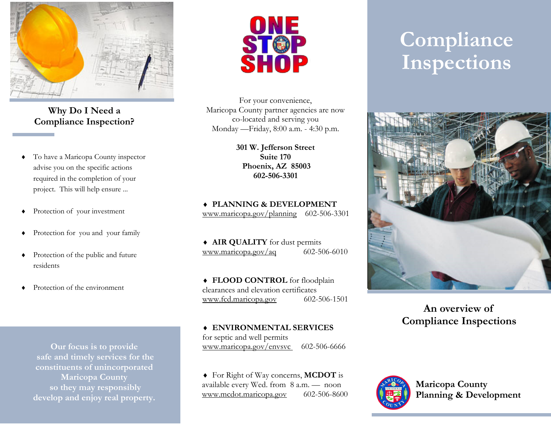

**Why Do I Need a Compliance Inspection?** 

- To have a Maricopa County inspector advise you on the specific actions required in the completion of your project. This will help ensure ...
- ٠ Protection of your investment
- $\bullet$ Protection for you and your family
- Protection of the public and future residents
- ٠ Protection of the environment

**Our focus is to provide safe and timely services for the constituents of unincorporated Maricopa County so they may responsibly develop and enjoy real property.** 



For your convenience, Maricopa County partner agencies are now co-located and serving you Monday —Friday, 8:00 a.m. - 4:30 p.m.

> **301 W. Jefferson Street Suite 170 Phoenix, AZ 85003 602-506-3301**

 **PLANNING & DEVELOPMENT**www.maricopa.gov/planning 602-506-3301

 **AIR QUALITY** for dust permits www.maricopa.gov/aq  $602-506-6010$ 

 **FLOOD CONTROL** for floodplain clearances and elevation certificates www.fcd.maricopa.gov 602-506-1501

 **ENVIRONMENTAL SERVICES**  for septic and well permits www.maricopa.gov/envsvc 602-506-6666

 For Right of Way concerns, **MCDOT** is available every Wed. from 8 a.m. — noon www.mcdot.maricopa.gov 602-506-8600

# **Compliance Inspections**



## **An overview of Compliance Inspections**